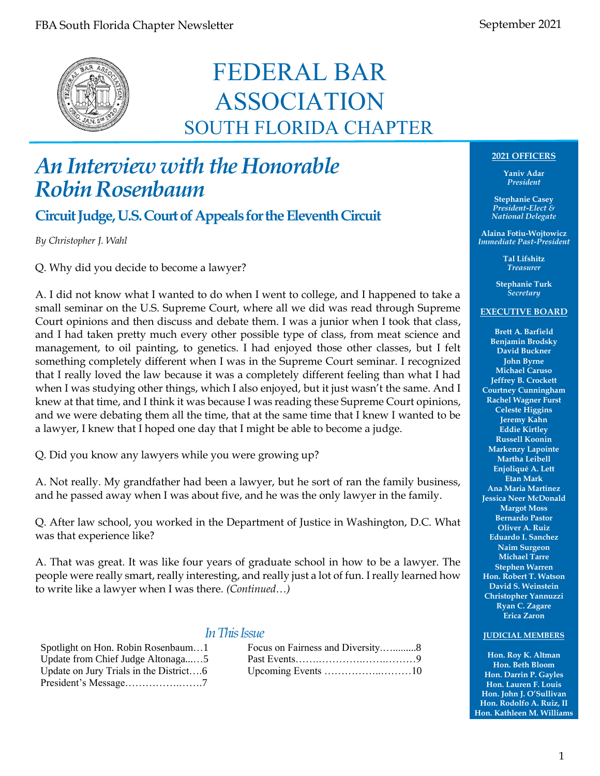

### FEDERAL BAR ASSOCIATION SOUTH FLORIDA CHAPTER

### *An Interview with the Honorable Robin Rosenbaum*

**Circuit Judge, U.S. Court of Appeals for the Eleventh Circuit**

*By Christopher J. Wahl*

Q. Why did you decide to become a lawyer?

A. I did not know what I wanted to do when I went to college, and I happened to take a small seminar on the U.S. Supreme Court, where all we did was read through Supreme Court opinions and then discuss and debate them. I was a junior when I took that class, and I had taken pretty much every other possible type of class, from meat science and management, to oil painting, to genetics. I had enjoyed those other classes, but I felt something completely different when I was in the Supreme Court seminar. I recognized that I really loved the law because it was a completely different feeling than what I had when I was studying other things, which I also enjoyed, but it just wasn't the same. And I knew at that time, and I think it was because I was reading these Supreme Court opinions, and we were debating them all the time, that at the same time that I knew I wanted to be a lawyer, I knew that I hoped one day that I might be able to become a judge.

Q. Did you know any lawyers while you were growing up?

A. Not really. My grandfather had been a lawyer, but he sort of ran the family business, and he passed away when I was about five, and he was the only lawyer in the family.

Q. After law school, you worked in the Department of Justice in Washington, D.C. What was that experience like?

A. That was great. It was like four years of graduate school in how to be a lawyer. The people were really smart, really interesting, and really just a lot of fun. I really learned how to write like a lawyer when I was there. *(Continued…)*

#### *In This Issue*

| Spotlight on Hon. Robin Rosenbaum1     |
|----------------------------------------|
| Update from Chief Judge Altonaga5      |
| Update on Jury Trials in the District6 |
| President's Message7                   |

| Spotlight on Hon. Robin Rosenbaum1     | Focus on Fairness and Diversity8 |
|----------------------------------------|----------------------------------|
| Update from Chief Judge Altonaga5      |                                  |
| Update on Jury Trials in the District6 |                                  |

#### **2021 OFFICERS**

**Yaniv Adar** *President*

**Stephanie Casey** *President-Elect & National Delegate*

**Alaina Fotiu-Wojtowicz** *Immediate Past-President*

> **Tal Lifshitz** *Treasurer*

**Stephanie Turk** *Secretary*

#### **EXECUTIVE BOARD**

**Brett A. Barfield Benjamin Brodsky David Buckner John Byrne Michael Caruso Jeffrey B. Crockett Courtney Cunningham Rachel Wagner Furst Celeste Higgins Jeremy Kahn Eddie Kirtley Russell Koonin Markenzy Lapointe Martha Leibell Enjoliqué A. Lett Etan Mark Ana Maria Martinez Jessica Neer McDonald Margot Moss Bernardo Pastor Oliver A. Ruiz Eduardo I. Sanchez Naim Surgeon Michael Tarre Stephen Warren Hon. Robert T. Watson David S. Weinstein Christopher Yannuzzi Ryan C. Zagare Erica Zaron**

#### **JUDICIAL MEMBERS**

**Hon. Roy K. Altman Hon. Beth Bloom Hon. Darrin P. Gayles Hon. Lauren F. Louis Hon. John J. O'Sullivan Hon. Rodolfo A. Ruiz, II Hon. Kathleen M. Williams**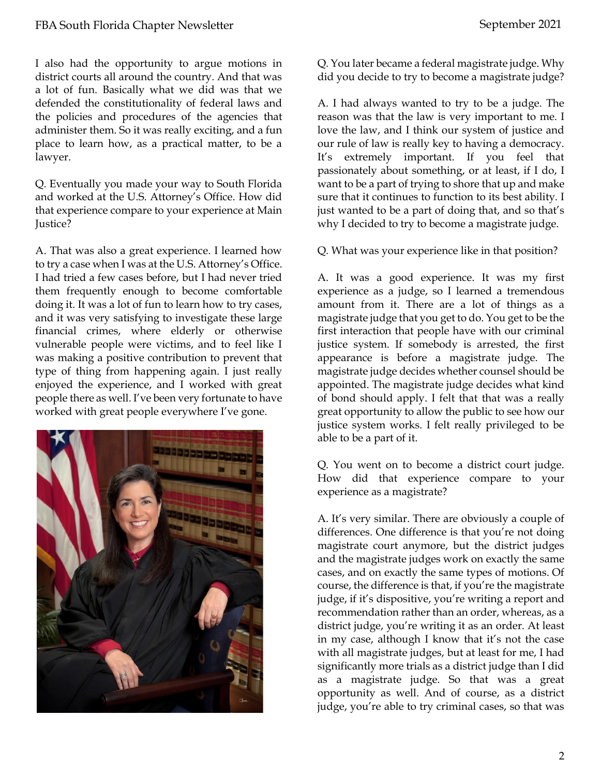I also had the opportunity to argue motions in district courts all around the country. And that was a lot of fun. Basically what we did was that we defended the constitutionality of federal laws and the policies and procedures of the agencies that administer them. So it was really exciting, and a fun place to learn how, as a practical matter, to be a lawyer.

Q. Eventually you made your way to South Florida and worked at the U.S. Attorney's Office. How did that experience compare to your experience at Main Justice?

A. That was also a great experience. I learned how to try a case when I was at the U.S. Attorney's Office. I had tried a few cases before, but I had never tried them frequently enough to become comfortable doing it. It was a lot of fun to learn how to try cases, and it was very satisfying to investigate these large financial crimes, where elderly or otherwise vulnerable people were victims, and to feel like I was making a positive contribution to prevent that type of thing from happening again. I just really enjoyed the experience, and I worked with great people there as well. I've been very fortunate to have worked with great people everywhere I've gone.



Q. You later became a federal magistrate judge. Why did you decide to try to become a magistrate judge?

A. I had always wanted to try to be a judge. The reason was that the law is very important to me. I love the law, and I think our system of justice and our rule of law is really key to having a democracy. It's extremely important. If you feel that passionately about something, or at least, if I do, I want to be a part of trying to shore that up and make sure that it continues to function to its best ability. I just wanted to be a part of doing that, and so that's why I decided to try to become a magistrate judge.

Q. What was your experience like in that position?

A. It was a good experience. It was my first experience as a judge, so I learned a tremendous amount from it. There are a lot of things as a magistrate judge that you get to do. You get to be the first interaction that people have with our criminal justice system. If somebody is arrested, the first appearance is before a magistrate judge. The magistrate judge decides whether counsel should be appointed. The magistrate judge decides what kind of bond should apply. I felt that that was a really great opportunity to allow the public to see how our justice system works. I felt really privileged to be able to be a part of it.

Q. You went on to become a district court judge. How did that experience compare to your experience as a magistrate?

A. It's very similar. There are obviously a couple of differences. One difference is that you're not doing magistrate court anymore, but the district judges and the magistrate judges work on exactly the same cases, and on exactly the same types of motions. Of course, the difference is that, if you're the magistrate judge, if it's dispositive, you're writing a report and recommendation rather than an order, whereas, as a district judge, you're writing it as an order. At least in my case, although I know that it's not the case with all magistrate judges, but at least for me, I had significantly more trials as a district judge than I did as a magistrate judge. So that was a great opportunity as well. And of course, as a district judge, you're able to try criminal cases, so that was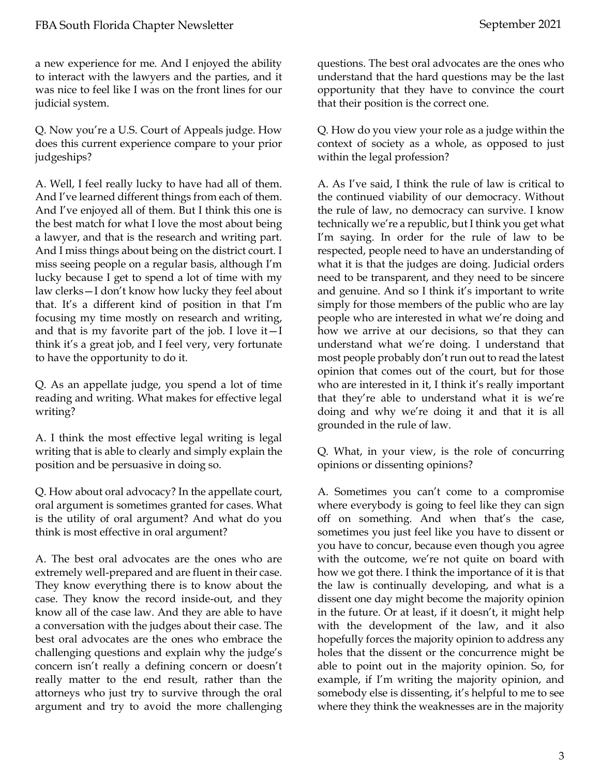a new experience for me. And I enjoyed the ability to interact with the lawyers and the parties, and it was nice to feel like I was on the front lines for our judicial system.

Q. Now you're a U.S. Court of Appeals judge. How does this current experience compare to your prior judgeships?

A. Well, I feel really lucky to have had all of them. And I've learned different things from each of them. And I've enjoyed all of them. But I think this one is the best match for what I love the most about being a lawyer, and that is the research and writing part. And I miss things about being on the district court. I miss seeing people on a regular basis, although I'm lucky because I get to spend a lot of time with my law clerks—I don't know how lucky they feel about that. It's a different kind of position in that I'm focusing my time mostly on research and writing, and that is my favorite part of the job. I love it—I think it's a great job, and I feel very, very fortunate to have the opportunity to do it.

Q. As an appellate judge, you spend a lot of time reading and writing. What makes for effective legal writing?

A. I think the most effective legal writing is legal writing that is able to clearly and simply explain the position and be persuasive in doing so.

Q. How about oral advocacy? In the appellate court, oral argument is sometimes granted for cases. What is the utility of oral argument? And what do you think is most effective in oral argument?

A. The best oral advocates are the ones who are extremely well-prepared and are fluent in their case. They know everything there is to know about the case. They know the record inside-out, and they know all of the case law. And they are able to have a conversation with the judges about their case. The best oral advocates are the ones who embrace the challenging questions and explain why the judge's concern isn't really a defining concern or doesn't really matter to the end result, rather than the attorneys who just try to survive through the oral argument and try to avoid the more challenging questions. The best oral advocates are the ones who understand that the hard questions may be the last opportunity that they have to convince the court that their position is the correct one.

Q. How do you view your role as a judge within the context of society as a whole, as opposed to just within the legal profession?

A. As I've said, I think the rule of law is critical to the continued viability of our democracy. Without the rule of law, no democracy can survive. I know technically we're a republic, but I think you get what I'm saying. In order for the rule of law to be respected, people need to have an understanding of what it is that the judges are doing. Judicial orders need to be transparent, and they need to be sincere and genuine. And so I think it's important to write simply for those members of the public who are lay people who are interested in what we're doing and how we arrive at our decisions, so that they can understand what we're doing. I understand that most people probably don't run out to read the latest opinion that comes out of the court, but for those who are interested in it, I think it's really important that they're able to understand what it is we're doing and why we're doing it and that it is all grounded in the rule of law.

Q. What, in your view, is the role of concurring opinions or dissenting opinions?

A. Sometimes you can't come to a compromise where everybody is going to feel like they can sign off on something. And when that's the case, sometimes you just feel like you have to dissent or you have to concur, because even though you agree with the outcome, we're not quite on board with how we got there. I think the importance of it is that the law is continually developing, and what is a dissent one day might become the majority opinion in the future. Or at least, if it doesn't, it might help with the development of the law, and it also hopefully forces the majority opinion to address any holes that the dissent or the concurrence might be able to point out in the majority opinion. So, for example, if I'm writing the majority opinion, and somebody else is dissenting, it's helpful to me to see where they think the weaknesses are in the majority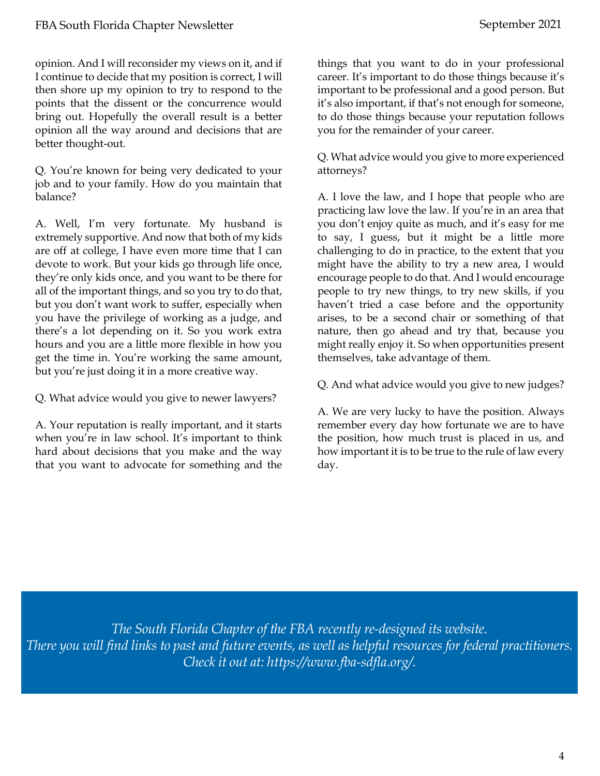opinion. And I will reconsider my views on it, and if I continue to decide that my position is correct, I will then shore up my opinion to try to respond to the points that the dissent or the concurrence would bring out. Hopefully the overall result is a better opinion all the way around and decisions that are better thought-out.

Q. You're known for being very dedicated to your job and to your family. How do you maintain that balance?

A. Well, I'm very fortunate. My husband is extremely supportive. And now that both of my kids are off at college, I have even more time that I can devote to work. But your kids go through life once, they're only kids once, and you want to be there for all of the important things, and so you try to do that, but you don't want work to suffer, especially when you have the privilege of working as a judge, and there's a lot depending on it. So you work extra hours and you are a little more flexible in how you get the time in. You're working the same amount, but you're just doing it in a more creative way.

Q. What advice would you give to newer lawyers?

A. Your reputation is really important, and it starts when you're in law school. It's important to think hard about decisions that you make and the way that you want to advocate for something and the things that you want to do in your professional career. It's important to do those things because it's important to be professional and a good person. But it's also important, if that's not enough for someone, to do those things because your reputation follows you for the remainder of your career.

Q. What advice would you give to more experienced attorneys?

A. I love the law, and I hope that people who are practicing law love the law. If you're in an area that you don't enjoy quite as much, and it's easy for me to say, I guess, but it might be a little more challenging to do in practice, to the extent that you might have the ability to try a new area, I would encourage people to do that. And I would encourage people to try new things, to try new skills, if you haven't tried a case before and the opportunity arises, to be a second chair or something of that nature, then go ahead and try that, because you might really enjoy it. So when opportunities present themselves, take advantage of them.

Q. And what advice would you give to new judges?

A. We are very lucky to have the position. Always remember every day how fortunate we are to have the position, how much trust is placed in us, and how important it is to be true to the rule of law every day.

*The South Florida Chapter of the FBA recently re-designed its website. There you will find links to past and future events, as well as helpful resources for federal practitioners. Check it out at: [https://www.fba-sdfla.org/.](https://www.fba-sdfla.org/)*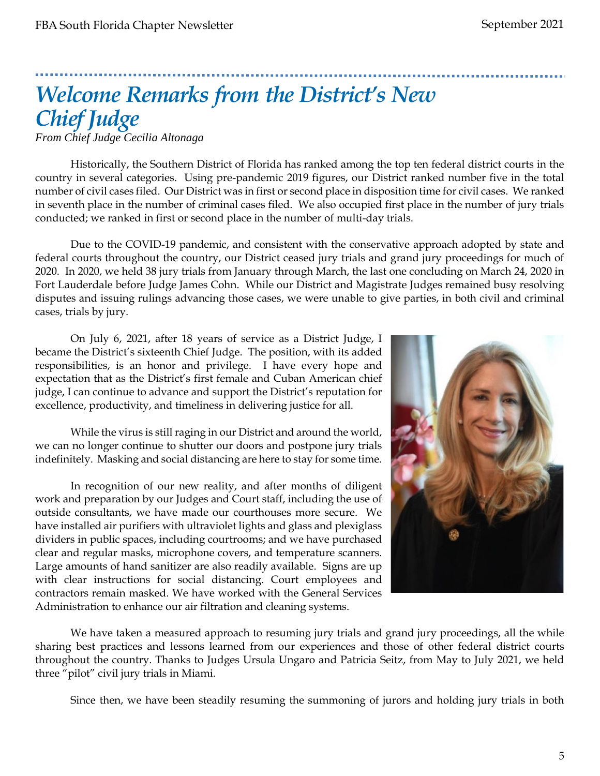# *Welcome Remarks from the District's New Chief Judge*

*From Chief Judge Cecilia Altonaga*

Historically, the Southern District of Florida has ranked among the top ten federal district courts in the country in several categories. Using pre-pandemic 2019 figures, our District ranked number five in the total number of civil cases filed. Our District was in first or second place in disposition time for civil cases. We ranked in seventh place in the number of criminal cases filed. We also occupied first place in the number of jury trials conducted; we ranked in first or second place in the number of multi-day trials.

Due to the COVID-19 pandemic, and consistent with the conservative approach adopted by state and federal courts throughout the country, our District ceased jury trials and grand jury proceedings for much of 2020. In 2020, we held 38 jury trials from January through March, the last one concluding on March 24, 2020 in Fort Lauderdale before Judge James Cohn. While our District and Magistrate Judges remained busy resolving disputes and issuing rulings advancing those cases, we were unable to give parties, in both civil and criminal cases, trials by jury.

On July 6, 2021, after 18 years of service as a District Judge, I became the District's sixteenth Chief Judge. The position, with its added responsibilities, is an honor and privilege. I have every hope and expectation that as the District's first female and Cuban American chief judge, I can continue to advance and support the District's reputation for excellence, productivity, and timeliness in delivering justice for all.

While the virus is still raging in our District and around the world, we can no longer continue to shutter our doors and postpone jury trials indefinitely. Masking and social distancing are here to stay for some time.

In recognition of our new reality, and after months of diligent work and preparation by our Judges and Court staff, including the use of outside consultants, we have made our courthouses more secure. We have installed air purifiers with ultraviolet lights and glass and plexiglass dividers in public spaces, including courtrooms; and we have purchased clear and regular masks, microphone covers, and temperature scanners. Large amounts of hand sanitizer are also readily available. Signs are up with clear instructions for social distancing. Court employees and contractors remain masked. We have worked with the General Services Administration to enhance our air filtration and cleaning systems.



We have taken a measured approach to resuming jury trials and grand jury proceedings, all the while sharing best practices and lessons learned from our experiences and those of other federal district courts throughout the country. Thanks to Judges Ursula Ungaro and Patricia Seitz, from May to July 2021, we held three "pilot" civil jury trials in Miami.

Since then, we have been steadily resuming the summoning of jurors and holding jury trials in both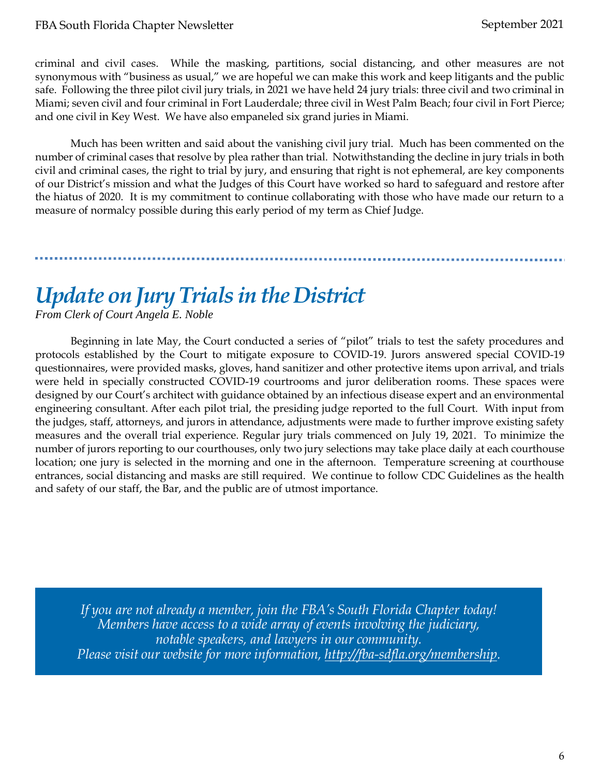criminal and civil cases. While the masking, partitions, social distancing, and other measures are not synonymous with "business as usual," we are hopeful we can make this work and keep litigants and the public safe. Following the three pilot civil jury trials, in 2021 we have held 24 jury trials: three civil and two criminal in Miami; seven civil and four criminal in Fort Lauderdale; three civil in West Palm Beach; four civil in Fort Pierce; and one civil in Key West. We have also empaneled six grand juries in Miami.

Much has been written and said about the vanishing civil jury trial. Much has been commented on the number of criminal cases that resolve by plea rather than trial. Notwithstanding the decline in jury trials in both civil and criminal cases, the right to trial by jury, and ensuring that right is not ephemeral, are key components of our District's mission and what the Judges of this Court have worked so hard to safeguard and restore after the hiatus of 2020. It is my commitment to continue collaborating with those who have made our return to a measure of normalcy possible during this early period of my term as Chief Judge.

### *Update on Jury Trials in the District*

*From Clerk of Court Angela E. Noble*

Beginning in late May, the Court conducted a series of "pilot" trials to test the safety procedures and protocols established by the Court to mitigate exposure to COVID-19. Jurors answered special COVID-19 questionnaires, were provided masks, gloves, hand sanitizer and other protective items upon arrival, and trials were held in specially constructed COVID-19 courtrooms and juror deliberation rooms. These spaces were designed by our Court's architect with guidance obtained by an infectious disease expert and an environmental engineering consultant. After each pilot trial, the presiding judge reported to the full Court. With input from the judges, staff, attorneys, and jurors in attendance, adjustments were made to further improve existing safety measures and the overall trial experience. Regular jury trials commenced on July 19, 2021. To minimize the number of jurors reporting to our courthouses, only two jury selections may take place daily at each courthouse location; one jury is selected in the morning and one in the afternoon. Temperature screening at courthouse entrances, social distancing and masks are still required. We continue to follow CDC Guidelines as the health and safety of our staff, the Bar, and the public are of utmost importance.

*If you are not already a member, join the FBA's South Florida Chapter today! Members have access to a wide array of events involving the judiciary, notable speakers, and lawyers in our community. Please visit our website for more information, [http://fba-sdfla.org/membership.](http://fba-sdfla.org/membership)*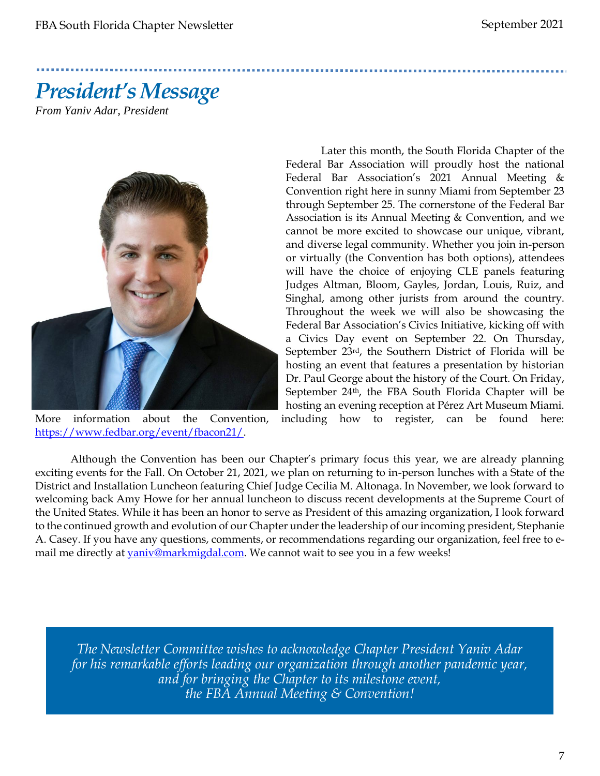# *President's Message*

*From Yaniv Adar, President*



[https://www.fedbar.org/event/fbacon21/.](https://protect-us.mimecast.com/s/U9yqCAD9QMTZ1POS8CJ4-?domain=linkprotect.cudasvc.com)

Later this month, the South Florida Chapter of the Federal Bar Association will proudly host the national Federal Bar Association's 2021 Annual Meeting & Convention right here in sunny Miami from September 23 through September 25. The cornerstone of the Federal Bar Association is its Annual Meeting & Convention, and we cannot be more excited to showcase our unique, vibrant, and diverse legal community. Whether you join in-person or virtually (the Convention has both options), attendees will have the choice of enjoying CLE panels featuring Judges Altman, Bloom, Gayles, Jordan, Louis, Ruiz, and Singhal, among other jurists from around the country. Throughout the week we will also be showcasing the Federal Bar Association's Civics Initiative, kicking off with a Civics Day event on September 22. On Thursday, September 23rd, the Southern District of Florida will be hosting an event that features a presentation by historian Dr. Paul George about the history of the Court. On Friday, September 24<sup>th</sup>, the FBA South Florida Chapter will be hosting an evening reception at Pérez Art Museum Miami.

More information about the Convention, including how to register, can be found here:

Although the Convention has been our Chapter's primary focus this year, we are already planning exciting events for the Fall. On October 21, 2021, we plan on returning to in-person lunches with a State of the District and Installation Luncheon featuring Chief Judge Cecilia M. Altonaga. In November, we look forward to welcoming back Amy Howe for her annual luncheon to discuss recent developments at the Supreme Court of the United States. While it has been an honor to serve as President of this amazing organization, I look forward to the continued growth and evolution of our Chapter under the leadership of our incoming president, Stephanie A. Casey. If you have any questions, comments, or recommendations regarding our organization, feel free to email me directly at [yaniv@markmigdal.com.](mailto:yaniv@markmigdal.com) We cannot wait to see you in a few weeks!

*The Newsletter Committee wishes to acknowledge Chapter President Yaniv Adar for his remarkable efforts leading our organization through another pandemic year, and for bringing the Chapter to its milestone event, the FBA Annual Meeting & Convention!*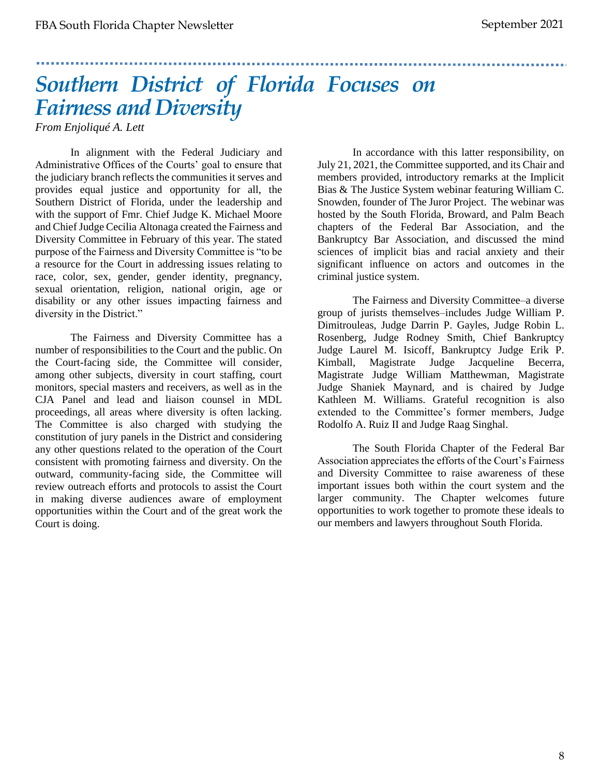## *Southern District of Florida Focuses on Fairness and Diversity*

*From Enjoliqué A. Lett*

In alignment with the Federal Judiciary and Administrative Offices of the Courts' goal to ensure that the judiciary branch reflects the communities it serves and provides equal justice and opportunity for all, the Southern District of Florida, under the leadership and with the support of Fmr. Chief Judge K. Michael Moore and Chief Judge Cecilia Altonaga created the Fairness and Diversity Committee in February of this year. The stated purpose of the Fairness and Diversity Committee is "to be a resource for the Court in addressing issues relating to race, color, sex, gender, gender identity, pregnancy, sexual orientation, religion, national origin, age or disability or any other issues impacting fairness and diversity in the District."

The Fairness and Diversity Committee has a number of responsibilities to the Court and the public. On the Court-facing side, the Committee will consider, among other subjects, diversity in court staffing, court monitors, special masters and receivers, as well as in the CJA Panel and lead and liaison counsel in MDL proceedings, all areas where diversity is often lacking. The Committee is also charged with studying the constitution of jury panels in the District and considering any other questions related to the operation of the Court consistent with promoting fairness and diversity. On the outward, community-facing side, the Committee will review outreach efforts and protocols to assist the Court in making diverse audiences aware of employment opportunities within the Court and of the great work the Court is doing.

In accordance with this latter responsibility, on July 21, 2021, the Committee supported, and its Chair and members provided, introductory remarks at the Implicit Bias & The Justice System webinar featuring William C. Snowden, founder of The Juror Project. The webinar was hosted by the South Florida, Broward, and Palm Beach chapters of the Federal Bar Association, and the Bankruptcy Bar Association, and discussed the mind sciences of implicit bias and racial anxiety and their significant influence on actors and outcomes in the criminal justice system.

The Fairness and Diversity Committee–a diverse group of jurists themselves–includes Judge William P. Dimitrouleas, Judge Darrin P. Gayles, Judge Robin L. Rosenberg, Judge Rodney Smith, Chief Bankruptcy Judge Laurel M. Isicoff, Bankruptcy Judge Erik P. Kimball, Magistrate Judge Jacqueline Becerra, Magistrate Judge William Matthewman, Magistrate Judge Shaniek Maynard, and is chaired by Judge Kathleen M. Williams. Grateful recognition is also extended to the Committee's former members, Judge Rodolfo A. Ruiz II and Judge Raag Singhal.

The South Florida Chapter of the Federal Bar Association appreciates the efforts of the Court's Fairness and Diversity Committee to raise awareness of these important issues both within the court system and the larger community. The Chapter welcomes future opportunities to work together to promote these ideals to our members and lawyers throughout South Florida.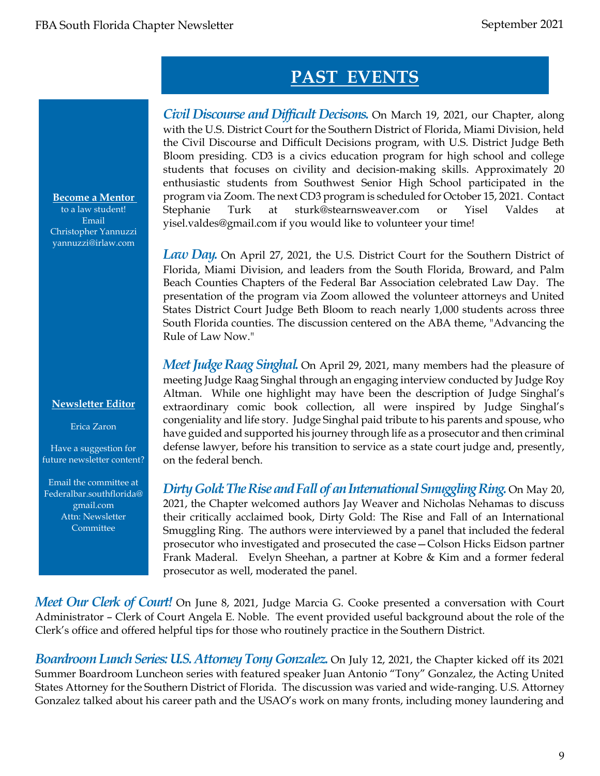### **PAST EVENTS**

*Civil Discourse and Difficult Decisons.* On March 19, 2021, our Chapter, along with the U.S. District Court for the Southern District of Florida, Miami Division, held the Civil Discourse and Difficult Decisions program, with U.S. District Judge Beth Bloom presiding. CD3 is a civics education program for high school and college students that focuses on civility and decision-making skills. Approximately 20 enthusiastic students from Southwest Senior High School participated in the program via Zoom. The next CD3 program is scheduled for October 15, 2021. Contact Stephanie Turk at sturk@stearnsweaver.com or Yisel Valdes at yisel.valdes@gmail.com if you would like to volunteer your time!

*Law Day.* On April 27, 2021, the U.S. District Court for the Southern District of Florida, Miami Division, and leaders from the South Florida, Broward, and Palm Beach Counties Chapters of the Federal Bar Association celebrated Law Day. The presentation of the program via Zoom allowed the volunteer attorneys and United States District Court Judge Beth Bloom to reach nearly 1,000 students across three South Florida counties. The discussion centered on the ABA theme, "Advancing the Rule of Law Now."

*Meet Judge Raag Singhal*. On April 29, 2021, many members had the pleasure of meeting Judge Raag Singhal through an engaging interview conducted by Judge Roy Altman. While one highlight may have been the description of Judge Singhal's extraordinary comic book collection, all were inspired by Judge Singhal's congeniality and life story. Judge Singhal paid tribute to his parents and spouse, who have guided and supported his journey through life as a prosecutor and then criminal defense lawyer, before his transition to service as a state court judge and, presently, on the federal bench.

*Dirty Gold: The Rise and Fall of an International Smuggling Ring.* On May 20, 2021, the Chapter welcomed authors Jay Weaver and Nicholas Nehamas to discuss their critically acclaimed book, Dirty Gold: The Rise and Fall of an International Smuggling Ring. The authors were interviewed by a panel that included the federal prosecutor who investigated and prosecuted the case—Colson Hicks Eidson partner Frank Maderal. Evelyn Sheehan, a partner at Kobre & Kim and a former federal prosecutor as well, moderated the panel.

*Meet Our Clerk of Court!* On June 8, 2021, Judge Marcia G. Cooke presented a conversation with Court Administrator – Clerk of Court Angela E. Noble. The event provided useful background about the role of the Clerk's office and offered helpful tips for those who routinely practice in the Southern District.

*Boardroom Lunch Series: U.S. Attorney Tony Gonzalez. On July 12, 2021, the Chapter kicked off its 2021* Summer Boardroom Luncheon series with featured speaker Juan Antonio "Tony" Gonzalez, the Acting United States Attorney for the Southern District of Florida. The discussion was varied and wide-ranging. U.S. Attorney Gonzalez talked about his career path and the USAO's work on many fronts, including money laundering and

**Become a Mentor** 

to a law student! Email Christopher Yannuzzi yannuzzi@irlaw.com

#### **Newsletter Editor**

Erica Zaron

Have a suggestion for future newsletter content?

Email the committee at Federalbar.southflorida@ gmail.com Attn: Newsletter **Committee**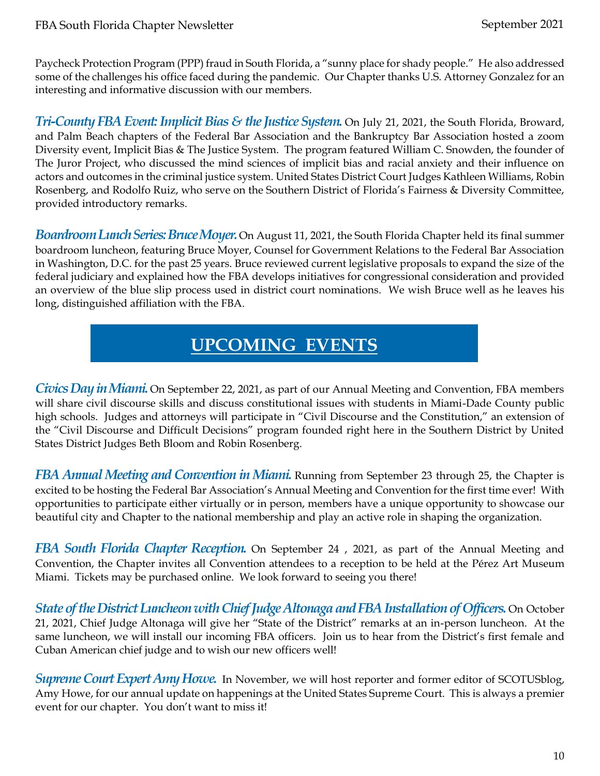Paycheck Protection Program (PPP) fraud in South Florida, a "sunny place for shady people." He also addressed some of the challenges his office faced during the pandemic. Our Chapter thanks U.S. Attorney Gonzalez for an interesting and informative discussion with our members.

*Tri-County FBA Event: Implicit Bias & the Justice System.* On July 21, 2021, the South Florida, Broward, and Palm Beach chapters of the Federal Bar Association and the Bankruptcy Bar Association hosted a zoom Diversity event, Implicit Bias & The Justice System. The program featured William C. Snowden, the founder of The Juror Project, who discussed the mind sciences of implicit bias and racial anxiety and their influence on actors and outcomes in the criminal justice system. United States District Court Judges Kathleen Williams, Robin Rosenberg, and Rodolfo Ruiz, who serve on the Southern District of Florida's Fairness & Diversity Committee, provided introductory remarks.

*Boardroom Lunch Series: Bruce Moyer.* On August 11, 2021, the South Florida Chapter held its final summer boardroom luncheon, featuring Bruce Moyer, Counsel for Government Relations to the Federal Bar Association in Washington, D.C. for the past 25 years. Bruce reviewed current legislative proposals to expand the size of the federal judiciary and explained how the FBA develops initiatives for congressional consideration and provided an overview of the blue slip process used in district court nominations. We wish Bruce well as he leaves his long, distinguished affiliation with the FBA.

### **UPCOMING EVENTS**

*Civics Day in Miami.* On September 22, 2021, as part of our Annual Meeting and Convention, FBA members will share civil discourse skills and discuss constitutional issues with students in Miami-Dade County public high schools. Judges and attorneys will participate in "Civil Discourse and the Constitution," an extension of the "Civil Discourse and Difficult Decisions" program founded right here in the Southern District by United States District Judges Beth Bloom and Robin Rosenberg.

*FBA Annual Meeting and Convention in Miami.* Running from September 23 through 25, the Chapter is excited to be hosting the Federal Bar Association's Annual Meeting and Convention for the first time ever! With opportunities to participate either virtually or in person, members have a unique opportunity to showcase our beautiful city and Chapter to the national membership and play an active role in shaping the organization.

*FBA South Florida Chapter Reception.* On September 24 , 2021, as part of the Annual Meeting and Convention, the Chapter invites all Convention attendees to a reception to be held at the Pérez Art Museum Miami. Tickets may be purchased online. We look forward to seeing you there!

*State of the District Luncheon with Chief Judge Altonaga and FBA Installation of Officers.* On October 21, 2021, Chief Judge Altonaga will give her "State of the District" remarks at an in-person luncheon. At the same luncheon, we will install our incoming FBA officers. Join us to hear from the District's first female and Cuban American chief judge and to wish our new officers well!

*Supreme Court Expert Amy Howe.* In November, we will host reporter and former editor of SCOTUSblog, Amy Howe, for our annual update on happenings at the United States Supreme Court. This is always a premier event for our chapter. You don't want to miss it!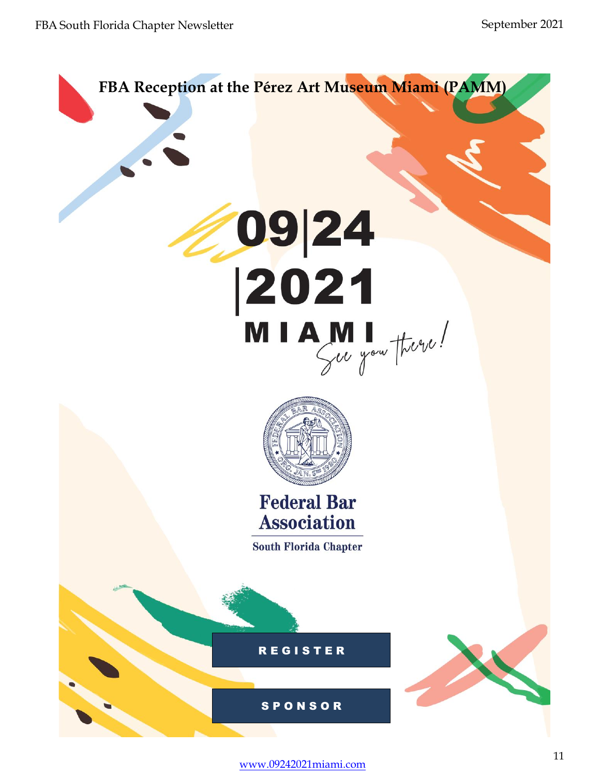